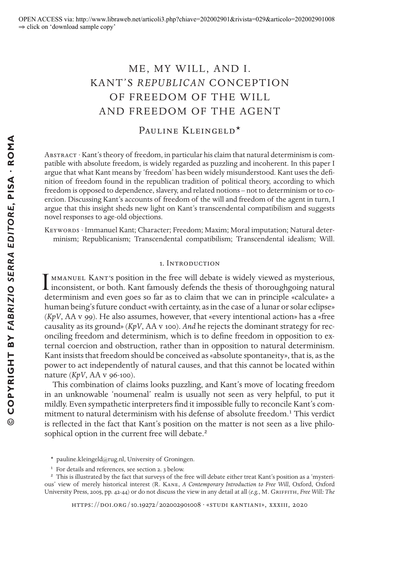# ME, MY WILL, AND I. KANT'S *REPUBLICAN* CONCEPTION OF FREEDOM OF THE WILL AND FREEDOM OF THE AGENT

# PAULINE KLEINGELD<sup>\*</sup>

Abstract · Kant's theory of freedom, in particular his claim that natural determinism is compatible with absolute freedom, is widely regarded as puzzling and incoherent. In this paper I argue that what Kant means by 'freedom' has been widely misunderstood. Kant uses the definition of freedom found in the republican tradition of political theory, according to which freedom is opposed to dependence, slavery, and related notions – not to determinism or to coercion. Discussing Kant's accounts of freedom of the will and freedom of the agent in turn, I argue that this insight sheds new light on Kant's transcendental compatibilism and suggests novel responses to age-old objections.

KEYWORDS · Immanuel Kant; Character; Freedom; Maxim; Moral imputation; Natural determinism; Republicanism; Transcendental compatibilism; Transcendental idealism; Will.

#### 1. Introduction

MMANUEL KANT's position in the free will debate is widely viewed as mysterious, I MMANUEL KANT'S position in the free will debate is widely viewed as mysterious,<br>inconsistent, or both. Kant famously defends the thesis of thoroughgoing natural<br>determinism and such sees so for as to claim that we see in determinism and even goes so far as to claim that we can in principle «calculate» a human being's future conduct «with certainty, as in the case of a lunar or solar eclipse» (*KpV*, AA v 99). He also assumes, however, that «every intentional action» has a «free causality as its ground» (*KpV*, AA v 100). *And* he rejects the dominant strategy for reconciling freedom and determinism, which is to define freedom in opposition to external coercion and obstruction, rather than in opposition to natural determinism. Kant insists that freedom should be conceived as «absolute spontaneity», that is, as the power to act independently of natural causes, and that this cannot be located within nature (*KpV*, AA v 96-100).

This combination of claims looks puzzling, and Kant's move of locating freedom in an unknowable 'noumenal' realm is usually not seen as very helpful, to put it mildly. Even sympathetic interpreters find it impossible fully to reconcile Kant's commitment to natural determinism with his defense of absolute freedom.<sup>1</sup> This verdict is reflected in the fact that Kant's position on the matter is not seen as a live philosophical option in the current free will debate.<sup>2</sup>

 $*$  pauline.kleingeld@rug.nl, University of Groningen.

<sup>&</sup>lt;sup>1</sup> For details and references, see section 2. 3 below.

<sup>&</sup>lt;sup>2</sup> This is illustrated by the fact that surveys of the free will debate either treat Kant's position as a 'mysterious' view of merely historical interest (R. Kane, *A Contemporary Introduction to Free Will*, Oxford, Oxford University Press, 2005, pp. 42-44) or do not discuss the view in any detail at all (*e.g.*, M. Griffith, *Free Will: The*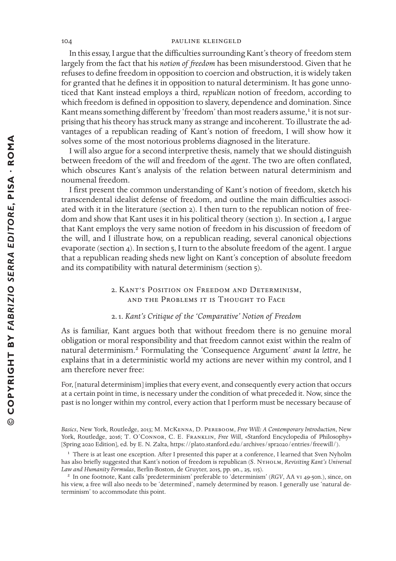In this essay, I argue that the difficulties surrounding Kant's theory of freedom stem largely from the fact that his *notion of freedom* has been misunderstood. Given that he refuses to define freedom in opposition to coercion and obstruction, it is widely taken for granted that he defines it in opposition to natural determinism. It has gone unnoticed that Kant instead employs a third, *republican* notion of freedom, according to which freedom is defined in opposition to slavery, dependence and domination. Since Kant means something different by 'freedom' than most readers assume,<sup>1</sup> it is not surprising that his theory has struck many as strange and incoherent. To illustrate the advantages of a republican reading of Kant's notion of freedom, I will show how it solves some of the most notorious problems diagnosed in the literature.

I will also argue for a second interpretive thesis, namely that we should distinguish between freedom of the *will* and freedom of the *agent*. The two are often conflated, which obscures Kant's analysis of the relation between natural determinism and noumenal freedom.

I first present the common understanding of Kant's notion of freedom, sketch his transcendental idealist defense of freedom, and outline the main difficulties associated with it in the literature (section 2). I then turn to the republican notion of freedom and show that Kant uses it in his political theory (section 3). In section 4, I argue that Kant employs the very same notion of freedom in his discussion of freedom of the will, and I illustrate how, on a republican reading, several canonical objections evaporate (section 4). In section 5, I turn to the absolute freedom of the agent. I argue that a republican reading sheds new light on Kant's conception of absolute freedom and its compatibility with natural determinism (section 5).

> 2. Kant's Position on Freedom and Determinism, and the Problems it is Thought to Face

# 2. 1. *Kant's Critique of the 'Comparative' Notion of Freedom*

As is familiar, Kant argues both that without freedom there is no genuine moral obligation or moral responsibility and that freedom cannot exist within the realm of natural determinism.2 Formulating the 'Consequence Argument' *avant la lettre*, he explains that in a deterministic world my actions are never within my control, and I am therefore never free:

For, [natural determinism] implies that every event, and consequently every action that occurs at a certain point in time, is necessary under the condition of what preceded it. Now, since the past is no longer within my control, every action that I perform must be necessary because of

Basics, New York, Routledge, 2013; M. McKENNA, D. PEREBOOM, *Free Will: A Contemporary Introduction*, New York, Routledge, 2016; T. O'CONNOR, C. E. FRANKLIN, *Free Will*, «Stanford Encyclopedia of Philosophy» [Spring 2020 Edition], ed. by E. N. Zalta, https://plato.stanford.edu/archives/spr2020/entries/freewill/).

<sup>&</sup>lt;sup>1</sup> There is at least one exception. After I presented this paper at a conference, I learned that Sven Nyholm has also briefly suggested that Kant's notion of freedom is republican (S. NYHOLM, *Revisiting Kant's Universal Law and Humanity Formulas*, Berlin-Boston, de Gruyter, 2015, pp. 9n., 25, 115).

<sup>2</sup> In one footnote, Kant calls 'predeterminism' preferable to 'determinism' (*RGV*, AA vi 49-50n.), since, on his view, a free will also needs to be 'determined', namely determined by reason. I generally use 'natural determinism' to accommodate this point.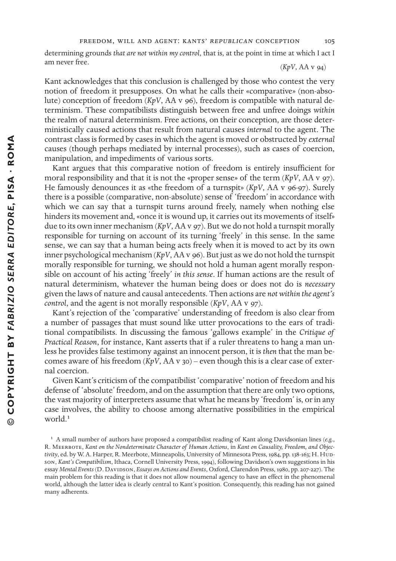determining grounds *that are not within my control*, that is, at the point in time at which I act I am never free. (*KpV*, AA v 94)

Kant acknowledges that this conclusion is challenged by those who contest the very notion of freedom it presupposes. On what he calls their «comparative» (non-absolute) conception of freedom (*KpV*, AA v 96), freedom is compatible with natural determinism. These compatibilists distinguish between free and unfree doings *within* the realm of natural determinism. Free actions, on their conception, are those deterministically caused actions that result from natural causes *internal* to the agent. The contrast class is formed by cases in which the agent is moved or obstructed by *external*  causes (though perhaps mediated by internal processes), such as cases of coercion, manipulation, and impediments of various sorts.

Kant argues that this comparative notion of freedom is entirely insufficient for moral responsibility and that it is not the «proper sense» of the term (*KpV*, AA v 97). He famously denounces it as «the freedom of a turnspit» (*KpV*, AA v 96-97). Surely there is a possible (comparative, non-absolute) sense of 'freedom' in accordance with which we can say that a turnspit turns around freely, namely when nothing else hinders its movement and, «once it is wound up, it carries out its movements of itself» due to its own inner mechanism (*KpV*, AA v 97). But we do not hold a turnspit morally responsible for turning on account of its turning 'freely' in this sense. In the same sense, we can say that a human being acts freely when it is moved to act by its own inner psychological mechanism (*KpV*, AA v 96). But just as we do not hold the turnspit morally responsible for turning, we should not hold a human agent morally responsible on account of his acting 'freely' *in this sense*. If human actions are the result of natural determinism, whatever the human being does or does not do is *necessary* given the laws of nature and causal antecedents. Then actions are *not within the agent's control*, and the agent is not morally responsible (*KpV*, AA v 97).

Kant's rejection of the 'comparative' understanding of freedom is also clear from a number of passages that must sound like utter provocations to the ears of traditional compatibilists. In discussing the famous 'gallows example' in the *Critique of Practical Reason*, for instance, Kant asserts that if a ruler threatens to hang a man unless he provides false testimony against an innocent person, it is *then* that the man becomes aware of his freedom  $(KpV, AAv_{30})$  – even though this is a clear case of external coercion.

Given Kant's criticism of the compatibilist 'comparative' notion of freedom and his defense of 'absolute' freedom, and on the assumption that there are only two options, the vast majority of interpreters assume that what he means by 'freedom' is, or in any case involves, the ability to choose among alternative possibilities in the empirical world.<sup>1</sup>

 $\alpha$  A small number of authors have proposed a compatibilist reading of Kant along Davidsonian lines (*e.g.*, R. Meerbote, *Kant on the Nondeterminate Character of Human Actions*, in *Kant on Causality, Freedom, and Objec*tivity, ed. by W. A. Harper, R. Meerbote, Minneapolis, University of Minnesota Press, 1984, pp. 138-163; H. Hudson, *Kant's Compatibilism*, Ithaca, Cornell University Press, 1994), following Davidson's own suggestions in his essay *Mental Events* (D. Davidson, *Essays on Actions and Events*, Oxford, Clarendon Press, 1980, pp. 207-227). The main problem for this reading is that it does not allow noumenal agency to have an effect in the phenomenal world, although the latter idea is clearly central to Kant's position. Consequently, this reading has not gained many adherents.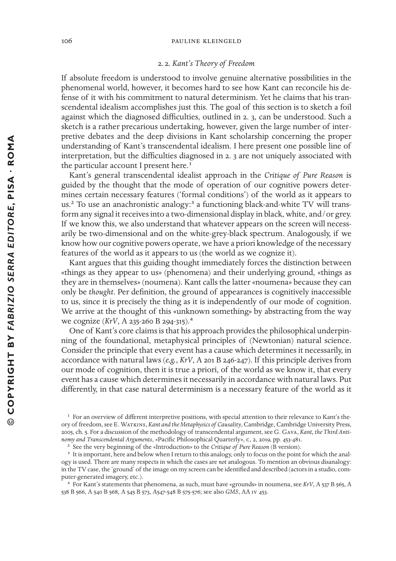#### 2. 2. *Kant's Theory of Freedom*

If absolute freedom is understood to involve genuine alternative possibilities in the phenomenal world, however, it becomes hard to see how Kant can reconcile his defense of it with his commitment to natural determinism. Yet he claims that his transcendental idealism accomplishes just this. The goal of this section is to sketch a foil against which the diagnosed difficulties, outlined in 2. 3, can be understood. Such a sketch is a rather precarious undertaking, however, given the large number of interpretive debates and the deep divisions in Kant scholarship concerning the proper understanding of Kant's transcendental idealism. I here present one possible line of interpretation, but the difficulties diagnosed in 2. 3 are not uniquely associated with the particular account I present here. $<sup>1</sup>$ </sup>

Kant's general transcendental idealist approach in the *Critique of Pure Reason* is guided by the thought that the mode of operation of our cognitive powers determines certain necessary features ('formal conditions') of the world as it appears to us.<sup>2</sup> To use an anachronistic analogy:<sup>3</sup> a functioning black-and-white TV will transform any signal it receives into a two-dimensional display in black, white, and/or grey. If we know this, we also understand that whatever appears on the screen will necessarily be two-dimensional and on the white-grey-black spectrum. Analogously, if we know how our cognitive powers operate, we have a priori knowledge of the necessary features of the world as it appears to us (the world as we cognize it).

Kant argues that this guiding thought immediately forces the distinction between «things as they appear to us» (phenomena) and their underlying ground, «things as they are in themselves» (noumena). Kant calls the latter «noumena» because they can only be *thought*. Per definition, the ground of appearances is cognitively inaccessible to us, since it is precisely the thing as it is independently of our mode of cognition. We arrive at the thought of this «unknown something» by abstracting from the way we cognize (*KrV*, A 235-260 B 294-315).<sup>4</sup>

One of Kant's core claims is that his approach provides the philosophical underpinning of the foundational, metaphysical principles of (Newtonian) natural science. Consider the principle that every event has a cause which determines it necessarily, in accordance with natural laws (*e.g.*, *KrV*, A 201 B 246-247). If this principle derives from our mode of cognition, then it is true a priori, of the world as we know it, that every event has a cause which determines it necessarily in accordance with natural laws. Put differently, in that case natural determinism is a necessary feature of the world as it

<sup>4</sup> For Kant's statements that phenomena, as such, must have «grounds» in noumena, see *KrV*, A 537 B 565, A 538 B 566, A 540 B 568, A 545 B 573, A547-548 B 575-576; see also *GMS*, AA iv 453.

<sup>&</sup>lt;sup>1</sup> For an overview of different interpretive positions, with special attention to their relevance to Kant's theory of freedom, see E. WATKINS, *Kant and the Metaphysics of Causality*, Cambridge, Cambridge University Press, 2005, ch. 5. For a discussion of the methodology of transcendental argument, see G. Gava, *Kant, the Third Anti*nomy and Transcendental Arguments, «Pacific Philosophical Quarterly», c, 2, 2019, pp. 453-481.

<sup>2</sup> See the very beginning of the «Introduction» to the *Critique of Pure Reason* (B version).

<sup>&</sup>lt;sup>3</sup> It is important, here and below when I return to this analogy, only to focus on the point for which the analogy is used. There are many respects in which the cases are *not* analogous. To mention an obvious disanalogy: in the TV case, the 'ground' of the image on my screen can be identified and described (actors in a studio, computer-generated imagery, etc.).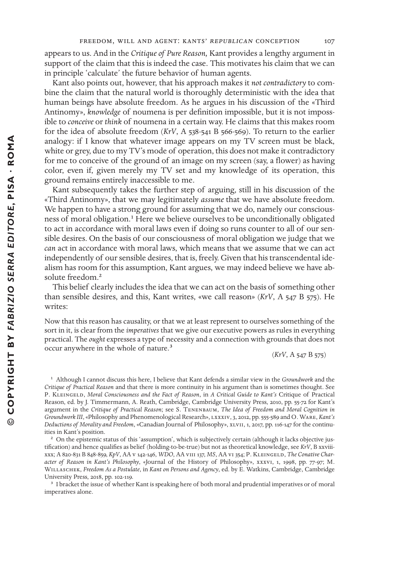appears to us. And in the *Critique of Pure Reason,* Kant provides a lengthy argument in support of the claim that this is indeed the case. This motivates his claim that we can in principle 'calculate' the future behavior of human agents.

Kant also points out, however, that his approach makes it *not contradictory* to combine the claim that the natural world is thoroughly deterministic with the idea that human beings have absolute freedom. As he argues in his discussion of the «Third Antinomy», *knowledge* of noumena is per definition impossible, but it is not impossible to *conceive* or *think* of noumena in a certain way. He claims that this makes room for the idea of absolute freedom (*KrV*, A 538-541 B 566-569). To return to the earlier analogy: if I know that whatever image appears on my TV screen must be black, white or grey, due to my TV's mode of operation, this does not make it contradictory for me to conceive of the ground of an image on my screen (say, a flower) as having color, even if, given merely my TV set and my knowledge of its operation, this ground remains entirely inaccessible to me.

Kant subsequently takes the further step of arguing, still in his discussion of the «Third Antinomy», that we may legitimately *assume* that we have absolute freedom. We happen to have a strong ground for assuming that we do, namely our consciousness of moral obligation.<sup>1</sup> Here we believe ourselves to be unconditionally obligated to act in accordance with moral laws even if doing so runs counter to all of our sensible desires. On the basis of our consciousness of moral obligation we judge that we *can* act in accordance with moral laws, which means that we assume that we can act independently of our sensible desires, that is, freely. Given that his transcendental idealism has room for this assumption, Kant argues, we may indeed believe we have absolute freedom.<sup>2</sup>

This belief clearly includes the idea that we can act on the basis of something other than sensible desires, and this, Kant writes, «we call reason» (*KrV*, A 547 B 575). He writes:

Now that this reason has causality, or that we at least represent to ourselves something of the sort in it, is clear from the *imperatives* that we give our executive powers as rules in everything practical. The *ought* expresses a type of necessity and a connection with grounds that does not occur anywhere in the whole of nature.<sup>3</sup>

(*KrV*, A 547 B 575)

<sup>1</sup> Although I cannot discuss this here, I believe that Kant defends a similar view in the *Groundwork* and the *Critique of Practical Reason* and that there is more continuity in his argument than is sometimes thought. See P. Kleingeld, *Moral Consciousness and the Fact of Reason*, in *A Critical Guide to Kant's* Critique of Practical Reason, ed. by J. Timmermann, A. Reath, Cambridge, Cambridge University Press, 2010, pp. 55-72 for Kant's argument in the *Critique of Practical Reason*; see S. Tenenbaum, *The Idea of Freedom and Moral Cognition in Groundwork III*, «Philosophy and Phenomenological Research», lxxxiv, 3, 2012, pp. 555-589 and O. Ware, *Kant's Deductions of Morality and Freedom*, «Canadian Journal of Philosophy», xlvii, 1, 2017, pp. 116-147 for the continuities in Kant's position.

<sup>2</sup> On the epistemic status of this 'assumption', which is subjectively certain (although it lacks objective justification) and hence qualifies as belief (holding-to-be-true) but not as theoretical knowledge, see *KrV*, B xxviiixxx; A 820-831 B 848-859, *KpV*, AA v 142-146, *WDO*, AA viii 137, *MS*, AA vi 354; P. Kleingeld, *The Conative Character of Reason in Kant's Philosophy*, «Journal of the History of Philosophy», xxxvi, 1, 1998, pp. 77-97; M. WILLASCHEK, Freedom As a Postulate, in *Kant on Persons and Agency*, ed. by E. Watkins, Cambridge, Cambridge University Press, 2018, pp. 102-119.

<sup>3</sup> I bracket the issue of whether Kant is speaking here of both moral and prudential imperatives or of moral imperatives alone.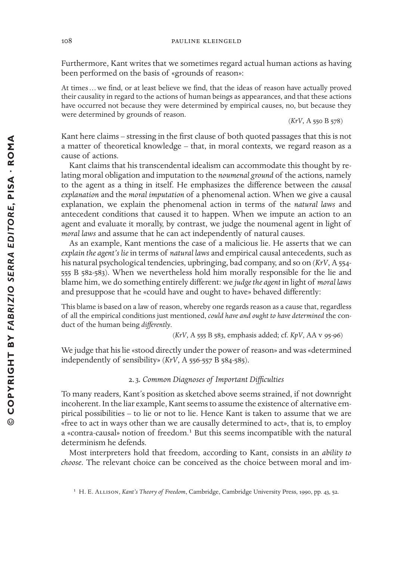Furthermore, Kant writes that we sometimes regard actual human actions as having been performed on the basis of «grounds of reason»:

At times ... we find, or at least believe we find, that the ideas of reason have actually proved their causality in regard to the actions of human beings as appearances, and that these actions have occurred not because they were determined by empirical causes, no, but because they were determined by grounds of reason. (*KrV*, A 550 B 578)

Kant here claims – stressing in the first clause of both quoted passages that this is not a matter of theoretical knowledge – that, in moral contexts, we regard reason as a cause of actions.

Kant claims that his transcendental idealism can accommodate this thought by relating moral obligation and imputation to the *noumenal ground* of the actions, namely to the agent as a thing in itself. He emphasizes the diterence between the *causal explanation* and the *moral imputation* of a phenomenal action. When we give a causal explanation, we explain the phenomenal action in terms of the *natural laws* and antecedent conditions that caused it to happen. When we impute an action to an agent and evaluate it morally, by contrast, we judge the noumenal agent in light of *moral laws* and assume that he can act independently of natural causes.

As an example, Kant mentions the case of a malicious lie. He asserts that we can *explain the agent's lie* in terms of *natural laws* and empirical causal antecedents, such as his natural psychological tendencies, upbringing, bad company, and so on (*KrV*, A 554- 555 B 582-583). When we nevertheless hold him morally responsible for the lie and blame him, we do something entirely diterent: we *judge the agent* in light of *moral laws* and presuppose that he «could have and ought to have» behaved differently:

This blame is based on a law of reason, whereby one regards reason as a cause that, regardless of all the empirical conditions just mentioned, *could have and ought to have determined* the conduct of the human being *dierently*.

(*KrV*, A 555 B 583, emphasis added; cf. *KpV*, AA v 95-96)

We judge that his lie «stood directly under the power of reason» and was «determined independently of sensibility» (*KrV*, A 556-557 B 584-585).

# 2. 3*. Common Diagnoses of Important Diculties*

To many readers, Kant's position as setched above seems strained, if not downright incoherent. In the liar example, Kant seems to assume the existence of alternative empirical possibilities – to lie or not to lie. Hence Kant is taken to assume that we are «free to act in ways other than we are causally determined to act», that is, to employ a «contra-causal» notion of freedom.<sup>1</sup> But this seems incompatible with the natural determinism he defends.

Most interpreters hold that freedom, according to Kant, consists in an *ability to choose*. The relevant choice can be conceived as the choice between moral and im-

<sup>&</sup>lt;sup>1</sup> H. E. ALLISON, *Kant's Theory of Freedom*, Cambridge, Cambridge University Press, 1990, pp. 43, 52.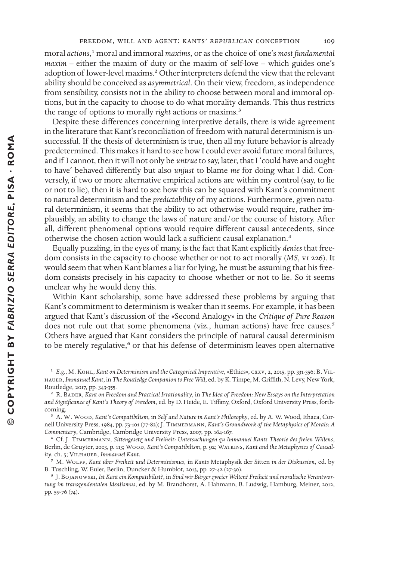moral *actions*,<sup>1</sup> moral and immoral *maxims*, or as the choice of one's *most fundamental maxim* – either the maxim of duty or the maxim of self-love – which guides one's adoption of lower-level maxims.<sup>2</sup> Other interpreters defend the view that the relevant ability should be conceived as *asymmetrical*. On their view, freedom, as independence from sensibility, consists not in the ability to choose between moral and immoral options, but in the capacity to choose to do what morality demands. This thus restricts the range of options to morally *right* actions or maxims.<sup>3</sup>

Despite these differences concerning interpretive details, there is wide agreement in the literature that Kant's reconciliation of freedom with natural determinism is unsuccessful. If the thesis of determinism is true, then all my future behavior is already predetermined. This makes it hard to see how I could ever avoid future moral failures, and if I cannot, then it will not only be *untrue* to say, later, that I 'could have and ought to have' behaved differently but also *unjust* to blame *me* for doing what I did. Conversely, if two or more alternative empirical actions are within my control (say, to lie or not to lie), then it is hard to see how this can be squared with Kant's commitment to natural determinism and the *predictability* of my actions. Furthermore, given natural determinism, it seems that the ability to act otherwise would require, rather implausibly, an ability to change the laws of nature and/or the course of history. After all, different phenomenal options would require different causal antecedents, since otherwise the chosen action would lack a sufficient causal explanation.<sup>4</sup>

Equally puzzling, in the eyes of many, is the fact that Kant explicitly *denies* that freedom consists in the capacity to choose whether or not to act morally (*MS*, vi 226). It would seem that when Kant blames a liar for lying, he must be assuming that his freedom consists precisely in his capacity to choose whether or not to lie. So it seems unclear why he would deny this.

Within Kant scholarship, some have addressed these problems by arguing that Kant's commitment to determinism is weaker than it seems. For example, it has been argued that Kant's discussion of the «Second Analogy» in the *Critique of Pure Reason* does not rule out that some phenomena (viz., human actions) have free causes.<sup>5</sup> Others have argued that Kant considers the principle of natural causal determinism to be merely regulative,<sup>6</sup> or that his defense of determinism leaves open alternative

 $\odot$ 

d *E.g.*, M. Kohl, *Kant on Determinism and the Categorical Imperative*, «Ethics», cxxv, 2, 2015, pp. 331-356; B. Vil-HAUER, *Immanuel Kant*, in *The Routledge Companion to Free Will*, ed. by K. Timpe, M. Griffith, N. Levy, New York, Routledge, 2017, pp. 343-355.

<sup>2</sup> R. Bader, *Kant on Freedom and Practical Irrationality*, in *The Idea of Freedom: New Essays on the Interpretation and Signi+cance of Kant's Theory of Freedom*, ed. by D. Heide, E. Titany, Oxford, Oxford University Press, forthcoming.

V A. W. Wood, *Kant's Compatibilism*, in *Self and Nature in Kant's Philosophy*, ed. by A. W. Wood, Ithaca, Cornell University Press, 1984, pp. 73-101 (77-82); J. Timmermann, *Kant's Groundwork of the Metaphysics of Morals: A Commentary*, Cambridge, Cambridge University Press, 2007, pp. 164-167.

R Cf. J. Timmermann, *Sittengesetz und Freiheit: Untersuchungen zu Immanuel Kants Theorie des freien Willens*, Berlin, de Gruyter, 2003, p. 113; Wood, *Kant's Compatibilism*, p. 92; Watkins, *Kant and the Metaphysics of Causality*, ch. 5; Vilhauer, *Immanuel Kant*.

<sup>&</sup>lt;sup>5</sup> M. WOLFF, *Kant über Freiheit und Determinismus*, in *Kants Metaphysik der Sitten in der Diskussion*, ed. by B. Tuschling, W. Euler, Berlin, Duncker & Humblot, 2013, pp. 27-42 (27-30).

G J. Bojanowski, *Ist Kant ein Kompatibilist?*, in *Sind wir Bürger zweier Welten? Freiheit und moralische Verantwortung im transzendentalen Idealismus*, ed. by M. Brandhorst, A. Hahmann, B. Ludwig, Hamburg, Meiner, 2012, pp. 59-76 (74).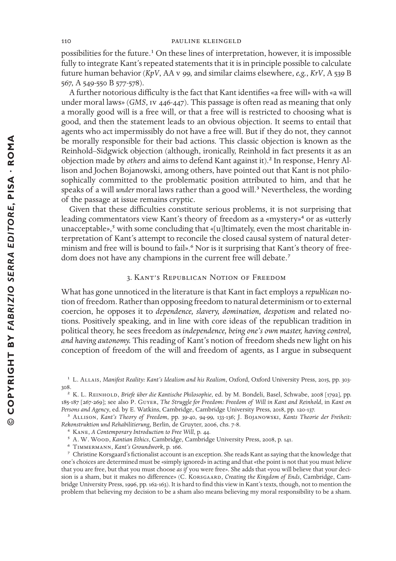possibilities for the future.<sup>1</sup> On these lines of interpretation, however, it is impossible fully to integrate Kant's repeated statements that it is in principle possible to calculate future human behavior (*KpV*, AA v 99, and similar claims elsewhere, *e.g.*, *KrV*, A 539 B 567, A 549-550 B 577-578).

A further notorious difficulty is the fact that Kant identifies «a free will» with «a will under moral laws» (*GMS*, iv 446-447). This passage is often read as meaning that only a morally good will is a free will, or that a free will is restricted to choosing what is good, and then the statement leads to an obvious objection. It seems to entail that agents who act impermissibly do not have a free will. But if they do not, they cannot be morally responsible for their bad actions. This classic objection is known as the Reinhold–Sidgwick objection (although, ironically, Reinhold in fact presents it as an objection made by *others* and aims to defend Kant against it).2 In response, Henry Allison and Jochen Bojanowski, among others, have pointed out that Kant is not philosophically committed to the problematic position attributed to him, and that he speaks of a will *under* moral laws rather than a good will.<sup>3</sup> Nevertheless, the wording of the passage at issue remains cryptic.

Given that these difficulties constitute serious problems, it is not surprising that leading commentators view Kant's theory of freedom as a «mystery»<sup>4</sup> or as «utterly unacceptable»,<sup>5</sup> with some concluding that «[u]ltimately, even the most charitable interpretation of Kant's attempt to reconcile the closed causal system of natural determinism and free will is bound to fail».<sup>6</sup> Nor is it surprising that Kant's theory of freedom does not have any champions in the current free will debate.<sup>7</sup>

# 3. Kant's Republican Notion of Freedom

What has gone unnoticed in the literature is that Kant in fact employs a *republican* notion of freedom. Rather than opposing freedom to natural determinism or to external coercion, he opposes it to *dependence, slavery, domination, despotism* and related notions. Positively speaking, and in line with core ideas of the republican tradition in political theory, he sees freedom as *independence, being one's own master, having control, and having autonomy.* This reading of Kant's notion of freedom sheds new light on his conception of freedom of the will and freedom of agents, as I argue in subsequent

R Kane, *A Contemporary Introduction to Free Will*, p. 44.

<sup>&</sup>lt;sup>1</sup> L. ALLAIS, *Manifest Reality: Kant's Idealism and his Realism*, Oxford, Oxford University Press, 2015, pp. 303-308.

<sup>2</sup> K. L. Reinhold, *Briefe über die Kantische Philosophie*, ed. by M. Bondeli, Basel, Schwabe, 2008 [1792], pp. 185-187 [267-269]; see also P. Guyer, *The Struggle for Freedom: Freedom of Will in Kant and Reinhold*, in *Kant on Persons and Agency*, ed. by E. Watins, Cambridge, Cambridge University Press, 2018, pp. 120-137.

<sup>&</sup>lt;sup>3</sup> ALLISON, *Kant's Theory of Freedom*, pp. 39-40, 94-99, 133-136; J. BOJANOWSKI, *Kants Theorie der Freiheit: Rekonstruktion und Rehabilitierung*, Berlin, de Gruyter, 2006, chs. 7-8.

<sup>&</sup>lt;sup>5</sup> A. W. Wood, *Kantian Ethics*, Cambridge, Cambridge University Press, 2008, p. 141.

G Timmermann, *Kant's Groundwork*, p. 166.

 $\frac{7}{10}$  Christine Korsgaard's fictionalist account is an exception. She reads Kant as saying that the knowledge that one's choices are determined must be «simply ignored» in acting and that «the point is not that you must *believe*  that you are free, but that you must choose *as if* you were free». She adds that «you will believe that your decision is a sham, but it makes no difference» (C. KORSGAARD, *Creating the Kingdom of Ends*, Cambridge, Cambridge University Press, 1996, pp. 162-163). It is hard to find this view in Kant's texts, though, not to mention the problem that believing my decision to be a sham also means believing my moral responsibility to be a sham.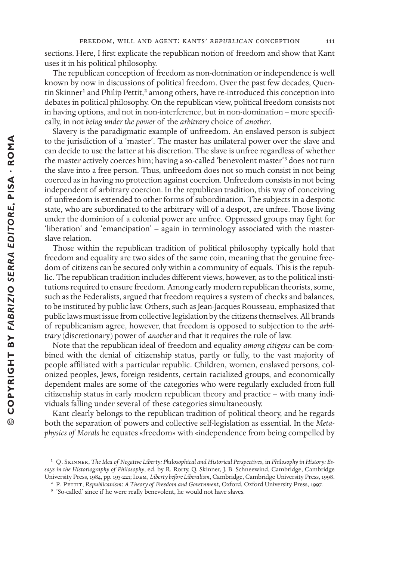sections. Here, I first explicate the republican notion of freedom and show that Kant uses it in his political philosophy.

The republican conception of freedom as non-domination or independence is well known by now in discussions of political freedom. Over the past few decades, Quentin Skinner<sup>1</sup> and Philip Pettit,<sup>2</sup> among others, have re-introduced this conception into debates in political philosophy. On the republican view, political freedom consists not in having options, and not in non-interference, but in non-domination – more specifically, in not *being under the power* of the *arbitrary* choice of *another*.

Slavery is the paradigmatic example of unfreedom. An enslaved person is subject to the jurisdiction of a 'master'. The master has unilateral power over the slave and can decide to use the latter at his discretion. The slave is unfree regardless of whether the master actively coerces him; having a so-called 'benevolent master'<sup>3</sup> does not turn the slave into a free person. Thus, unfreedom does not so much consist in not being coerced as in having no protection against coercion. Unfreedom consists in not being independent of arbitrary coercion. In the republican tradition, this way of conceiving of unfreedom is extended to other forms of subordination. The subjects in a despotic state, who are subordinated to the arbitrary will of a despot, are unfree. Those living under the dominion of a colonial power are unfree. Oppressed groups may fight for 'liberation' and 'emancipation' – again in terminology associated with the masterslave relation.

Those within the republican tradition of political philosophy typically hold that freedom and equality are two sides of the same coin, meaning that the genuine freedom of citizens can be secured only within a community of equals. This is the republic. The republican tradition includes different views, however, as to the political institutions required to ensure freedom. Among early modern republican theorists, some, such as the Federalists, argued that freedom requires a system of checks and balances, to be instituted by public law. Others, such as Jean-Jacques Rousseau, emphasized that public laws must issue from collective legislation by the citizens themselves. All brands of republicanism agree, however, that freedom is opposed to subjection to the *arbitrary* (discretionary) power of *another* and that it requires the rule of law.

Note that the republican ideal of freedom and equality *among citizens* can be combined with the denial of citizenship status, partly or fully, to the vast majority of people affiliated with a particular republic. Children, women, enslaved persons, colonized peoples, Jews, foreign residents, certain racialized groups, and economically dependent males are some of the categories who were regularly excluded from full citizenship status in early modern republican theory and practice – with many individuals falling under several of these categories simultaneously.

Kant clearly belongs to the republican tradition of political theory, and he regards both the separation of powers and collective self-legislation as essential. In the *Metaphysics of Morals* he equates «freedom» with «independence from being compelled by

<sup>&</sup>lt;sup>1</sup> Q. SKINNER, *The Idea of Negative Liberty: Philosophical and Historical Perspectives, in Philosophy in History: Essays in the Historiography of Philosophy*, ed. by R. Rorty, Q. Sinner, J. B. Schneewind, Cambridge, Cambridge University Press, 1984, pp. 193-221; IDEM, *Liberty before Liberalism*, Cambridge, Cambridge University Press, 1998.

<sup>&</sup>lt;sup>2</sup> P. PETTIT, *Republicanism: A Theory of Freedom and Government*, Oxford, Oxford University Press, 1997.

<sup>&</sup>lt;sup>3</sup> 'So-called' since if he were really benevolent, he would not have slaves.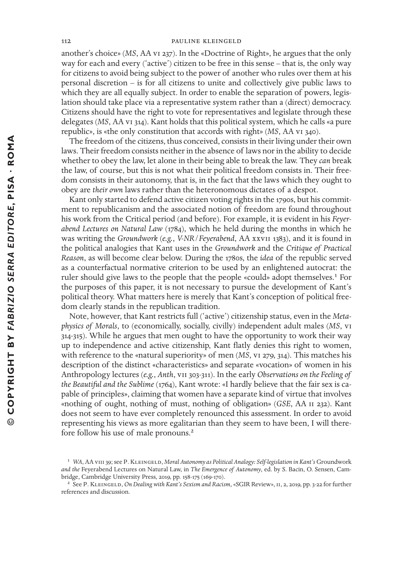another's choice» (*MS*, AA vi 237). In the «Doctrine of Right», he argues that the only way for each and every ('active') citizen to be free in this sense – that is, the only way for citizens to avoid being subject to the power of another who rules over them at his personal discretion – is for all citizens to unite and collectively give public laws to which they are all equally subject. In order to enable the separation of powers, legislation should take place via a representative system rather than a (direct) democracy. Citizens should have the right to vote for representatives and legislate through these delegates (*MS*, AA vi 314). Kant holds that this political system, which he calls «a pure republic», is «the only constitution that accords with right» (*MS*, AA vi 340).

The freedom of the citizens, thus conceived, consists in their living under their own laws. Their freedom consists neither in the absence of laws nor in the ability to decide whether to obey the law, let alone in their being able to break the law. They *can* break the law, of course, but this is not what their political freedom consists in. Their freedom consists in their autonomy, that is, in the fact that the laws which they ought to obey are *their own* laws rather than the heteronomous dictates of a despot.

Kant only started to defend active citizen voting rights in the 1790s, but his commitment to republicanism and the associated notion of freedom are found throughout his work from the Critical period (and before). For example, it is evident in his *Feyerabend Lectures on Natural Law* (1784), which he held during the months in which he was writing the *Groundwork* (*e.g.*, *V-NR*/*Feyerabend*, AA xxvii 1383), and it is found in the political analogies that Kant uses in the *Groundwork* and the *Critique of Practical Reason*, as will become clear below. During the 1780s, the *idea* of the republic served as a counterfactual normative criterion to be used by an enlightened autocrat: the ruler should give laws to the people that the people «could» adopt themselves.<sup>1</sup> For the purposes of this paper, it is not necessary to pursue the development of Kant's political theory. What matters here is merely that Kant's conception of political freedom clearly stands in the republican tradition.

Note, however, that Kant restricts full ('active') citizenship status, even in the *Metaphysics of Morals*, to (economically, socially, civilly) independent adult males (*MS*, vi 314-315). While he argues that men ought to have the opportunity to work their way up to independence and active citizenship, Kant flatly denies this right to women, with reference to the «natural superiority» of men (*MS*, v<sub>1</sub> 279, 314). This matches his description of the distinct «characteristics» and separate «vocation» of women in his Anthropology lectures (*e.g.*, *Anth*, vii 303-311). In the early *Observations on the Feeling of the Beautiful and the Sublime* (1764), Kant wrote: «I hardly believe that the fair sex is capable of principles», claiming that women have a separate kind of virtue that involves «nothing of ought, nothing of must, nothing of obligation» (*GSE*, AA ii 232). Kant does not seem to have ever completely renounced this assessment. In order to avoid representing his views as more egalitarian than they seem to have been, I will therefore follow his use of male pronouns.2

<sup>&</sup>lt;sup>1</sup> WA, AA vIII 39; see P. KLEINGELD, Moral Autonomy as Political Analogy: Self-legislation in Kant's Groundwork *and the* Feyerabend Lectures on Natural Law, in *The Emergence of Autonomy*, ed. by S. Bacin, O. Sensen, Cambridge, Cambridge University Press, 2019, pp. 158-175 (169-170).

<sup>&</sup>lt;sup>2</sup> See P. KLEINGELD, *On Dealing with Kant's Sexism and Racism*, «SGIR Review», II, 2, 2019, pp. 3-22 for further references and discussion.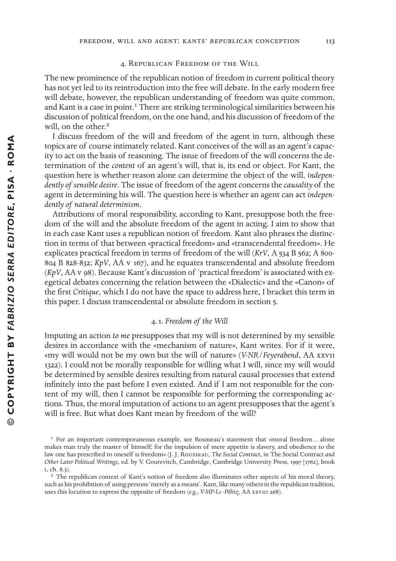# 4. Republican Freedom of the Will

The new prominence of the republican notion of freedom in current political theory has not yet led to its reintroduction into the free will debate. In the early modern free will debate, however, the republican understanding of freedom was quite common, and Kant is a case in point.<sup>1</sup> There are striking terminological similarities between his discussion of political freedom, on the one hand, and his discussion of freedom of the will, on the other.<sup>2</sup>

I discuss freedom of the will and freedom of the agent in turn, although these topics are of course intimately related. Kant conceives of the will as an agent's capacity to act on the basis of reasoning. The issue of freedom of the will concerns the determination of the *content* of an agent's will, that is, its end or object. For Kant, the question here is whether reason alone can determine the object of the will, *independently of sensible desire*. The issue of freedom of the agent concerns the *causality* of the agent in determining his will. The question here is whether an agent can act *independently of natural determinism*.

Attributions of moral responsibility, according to Kant, presuppose both the freedom of the will and the absolute freedom of the agent in acting. I aim to show that in each case Kant uses a republican notion of freedom. Kant also phrases the distinction in terms of that between «practical freedom» and «transcendental freedom». He explicates practical freedom in terms of freedom of the will (*KrV*, A 534 B 562; A 800- 804 B 828-832; *KpV*, AA v 167), and he equates transcendental and absolute freedom (*KpV*, AA v 98). Because Kant's discussion of 'practical freedom' is associated with exegetical debates concerning the relation between the «Dialectic» and the «Canon» of the first *Critique*, which I do not have the space to address here, I bracket this term in this paper. I discuss transcendental or absolute freedom in section 5.

### 4. 1. *Freedom of the Will*

Imputing an action *to me* presupposes that my will is not determined by my sensible desires in accordance with the «mechanism of nature», Kant writes. For if it were, «my will would not be my own but the will of nature» (*V-NR*/*Feyerabend*, AA xxvii 1322). I could not be morally responsible for willing what I will, since my will would be determined by sensible desires resulting from natural causal processes that extend infinitely into the past before I even existed. And if I am not responsible for the content of my will, then I cannot be responsible for performing the corresponding actions. Thus, the moral imputation of actions to an agent presupposes that the agent's will is free. But what does Kant mean by freedom of the will?

 $1$  For an important contemporaneous example, see Rousseau's statement that «moral freedom ... alone makes man truly the master of himself; for the impulsion of mere appetite is slavery, and obedience to the law one has prescribed to oneself is freedom» (J. J. Rousseau, *The Social Contract*, in The Social Contract *and Other Later Political Writings*, ed. by V. Gourevitch, Cambridge, Cambridge University Press, 1997 [1762], boo i, ch. 8.3).

<sup>&</sup>lt;sup>2</sup> The republican context of Kant's notion of freedom also illuminates other aspects of his moral theory, such as his prohibition of using persons 'merely as a means'. Kant, like many others in the republican tradition, uses this locution to express the opposite of freedom (*e.g.*, *V-MP-L1* - *Pölitz*, AA xxviii 268).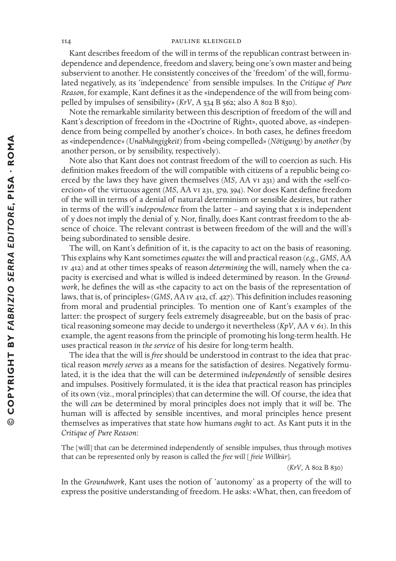Kant describes freedom of the will in terms of the republican contrast between independence and dependence, freedom and slavery, being one's own master and being subservient to another. He consistently conceives of the 'freedom' of the will, formulated negatively, as its 'independence' from sensible impulses. In the *Critique of Pure Reason*, for example, Kant defines it as the «independence of the will from being compelled by impulses of sensibility» (*KrV*, A 534 B 562; also A 802 B 830).

Note the remarkable similarity between this description of freedom of the will and Kant's description of freedom in the «Doctrine of Right», quoted above, as «independence from being compelled by another's choice». In both cases, he defines freedom as «independence» (*Unabhängigkeit*) from «being compelled» (*Nötigung*) by *another* (by another person, or by sensibility, respectively).

Note also that Kant does not contrast freedom of the will to coercion as such. His definition makes freedom of the will compatible with citizens of a republic being coerced by the laws they have given themselves (*MS*, AA vi 231) and with the «self-coercion» of the virtuous agent (*MS*, AA v1 231, 379, 394). Nor does Kant define freedom of the will in terms of a denial of natural determinism or sensible desires, but rather in terms of the will's *independence* from the latter – and saying that x is independent of y does not imply the denial of y. Nor, finally, does Kant contrast freedom to the absence of choice. The relevant contrast is between freedom of the will and the will's being subordinated to sensible desire.

The will, on Kant's definition of it, is the capacity to act on the basis of reasoning. This explains why Kant sometimes *equates* the will and practical reason (*e.g.*, *GMS*, AA iv 412) and at other times speas of reason *determining* the will, namely when the capacity is exercised and what is willed is indeed determined by reason. In the *Groundwork*, he defines the will as «the capacity to act on the basis of the representation of laws, that is, of principles» (*GMS*, AA Iv 412, cf. 427). This definition includes reasoning from moral and prudential principles. To mention one of Kant's examples of the latter: the prospect of surgery feels extremely disagreeable, but on the basis of practical reasoning someone may decide to undergo it nevertheless (*KpV*, AA v 61). In this example, the agent reasons from the principle of promoting his long-term health. He uses practical reason *in the service* of his desire for long-term health.

The idea that the will is *free* should be understood in contrast to the idea that practical reason *merely serves* as a means for the satisfaction of desires. Negatively formulated, it is the idea that the will can be determined *independently* of sensible desires and impulses. Positively formulated, it is the idea that practical reason has principles of its own (viz., moral principles) that can determine the will. Of course, the idea that the will *can* be determined by moral principles does not imply that it *will* be. The human will is affected by sensible incentives, and moral principles hence present themselves as imperatives that state how humans *ought* to act. As Kant puts it in the *Critique of Pure Reason*:

The [will] that can be determined independently of sensible impulses, thus through motives that can be represented only by reason is called the *free will* [ *freie Willkür*].

(*KrV*, A 802 B 830)

In the *Groundwork*, Kant uses the notion of 'autonomy' as a property of the will to express the positive understanding of freedom. He asks: «What, then, can freedom of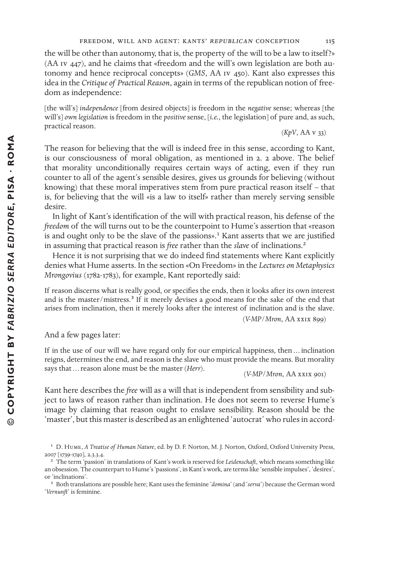the will be other than autonomy, that is, the property of the will to be a law to itself?» (AA iv 447), and he claims that «freedom and the will's own legislation are both autonomy and hence reciprocal concepts» (*GMS*, AA iv 450). Kant also expresses this idea in the *Critique of Practical Reason*, again in terms of the republican notion of freedom as independence:

[the will's] *independence* [from desired objects] is freedom in the *negative* sense; whereas [the will's] *own legislation* is freedom in the *positive* sense, [*i.e.*, the legislation] of pure and, as such, practical reason. (*KpV*, AA v 33)

The reason for believing that the will is indeed free in this sense, according to Kant, is our consciousness of moral obligation, as mentioned in 2. 2 above. The belief that morality unconditionally requires certain ways of acting, even if they run counter to all of the agent's sensible desires, gives us grounds for believing (without knowing) that these moral imperatives stem from pure practical reason itself  $-$  that is, for believing that the will «is a law to itself» rather than merely serving sensible desire.

In light of Kant's identification of the will with practical reason, his defense of the *freedom* of the will turns out to be the counterpoint to Hume's assertion that «reason is and ought only to be the slave of the passions».<sup>1</sup> Kant asserts that we are justified in assuming that practical reason is *free* rather than the *slave* of inclinations.2

Hence it is not surprising that we do indeed find statements where Kant explicitly denies what Hume asserts. In the section «On Freedom» in the *Lectures on Metaphysics Mrongovius* (1782-1783), for example, Kant reportedly said:

If reason discerns what is really good, or specifies the ends, then it looks after its own interest and is the master/mistress.<sup>3</sup> If it merely devises a good means for the sake of the end that arises from inclination, then it merely looks after the interest of inclination and is the slave.

(*V-MP*/*Mron*, AA xxix 899)

And a few pages later:

If in the use of our will we have regard only for our empirical happiness, then … inclination reigns, determines the end, and reason is the slave who must provide the means. But morality says that … reason alone must be the master (*Herr*). (*V-MP*/*Mron*, AA xxix 901)

Kant here describes the *free* will as a will that is independent from sensibility and subject to laws of reason rather than inclination. He does not seem to reverse Hume's image by claiming that reason ought to enslave sensibility. Reason should be the 'master', but this master is described as an enlightened 'autocrat' who rules in accord-

<sup>3</sup> Both translations are possible here; Kant uses the feminine '*domina*' (and 'serva') because the German word '*Vernunft*' is feminine.

<sup>&</sup>lt;sup>1</sup> D. Hume, *A Treatise of Human Nature*, ed. by D. F. Norton, M. J. Norton, Oxford, Oxford University Press, 2007 [1739-1740], 2.3.3.4.

<sup>&</sup>lt;sup>2</sup> The term 'passion' in translations of Kant's work is reserved for *Leidenschaft*, which means something like an obsession. The counterpart to Hume's 'passions', in Kant's work, are terms like 'sensible impulses', 'desires', or 'inclinations'.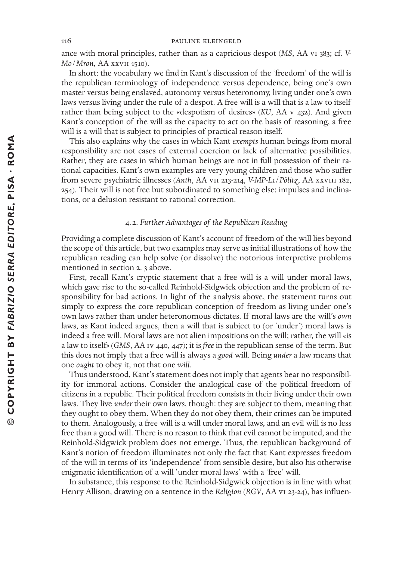ance with moral principles, rather than as a capricious despot (*MS*, AA vi 383; cf. *V-Mo*/*Mron*, AA xxvii 1510).

In short: the vocabulary we find in Kant's discussion of the 'freedom' of the will is the republican terminology of independence versus dependence, being one's own master versus being enslaved, autonomy versus heteronomy, living under one's own laws versus living under the rule of a despot. A free will is a will that is a law to itself rather than being subject to the «despotism of desires» (*KU*, AA v 432). And given Kant's conception of the will as the capacity to act on the basis of reasoning, a free will is a will that is subject to principles of practical reason itself.

This also explains why the cases in which Kant *exempts* human beings from moral responsibility are not cases of external coercion or lack of alternative possibilities. Rather, they are cases in which human beings are not in full possession of their rational capacities. Kant's own examples are very young children and those who suffer from severe psychiatric illnesses (*Anth*, AA vii 213-214, *V-MP-L1*/*Pölitz*, AA xxviii 182, 254). Their will is not free but subordinated to something else: impulses and inclinations, or a delusion resistant to rational correction.

# 4. 2. *Further Advantages of the Republican Reading*

Providing a complete discussion of Kant's account of freedom of the will lies beyond the scope of this article, but two examples may serve as initial illustrations of how the republican reading can help solve (or dissolve) the notorious interpretive problems mentioned in section 2. 3 above.

First, recall Kant's cryptic statement that a free will is a will under moral laws, which gave rise to the so-called Reinhold-Sidgwick objection and the problem of responsibility for bad actions. In light of the analysis above, the statement turns out simply to express the core republican conception of freedom as living under one's own laws rather than under heteronomous dictates. If moral laws are the will's *own* laws, as Kant indeed argues, then a will that is subject to (or 'under') moral laws is indeed a free will. Moral laws are not alien impositions on the will; rather, the will «is a law to itself» (*GMS*, AA iv 440, 447); it is *free* in the republican sense of the term. But this does not imply that a free will is always a *good* will. Being *under* a law means that one *ought* to obey it, not that one *will*.

Thus understood, Kant's statement does not imply that agents bear no responsibility for immoral actions. Consider the analogical case of the political freedom of citizens in a republic. Their political freedom consists in their living under their own laws. They live *under* their own laws, though: they are subject to them, meaning that they ought to obey them. When they do not obey them, their crimes can be imputed to them. Analogously, a free will is a will under moral laws, and an evil will is no less free than a good will. There is no reason to think that evil cannot be imputed, and the Reinhold-Sidgwick problem does not emerge. Thus, the republican background of Kant's notion of freedom illuminates not only the fact that Kant expresses freedom of the will in terms of its 'independence' from sensible desire, but also his otherwise enigmatic identification of a will 'under moral laws' with a 'free' will.

In substance, this response to the Reinhold-Sidgwick objection is in line with what Henry Allison, drawing on a sentence in the *Religion* (*RGV*, AA vi 23-24), has influen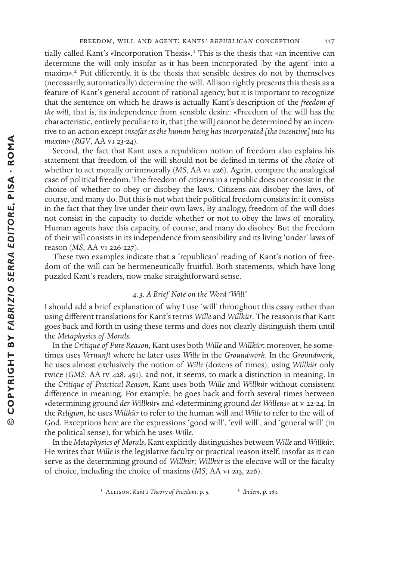tially called Kant's «Incorporation Thesis».<sup>1</sup> This is the thesis that «an incentive can determine the will only insofar as it has been incorporated [by the agent] into a maxim».<sup>2</sup> Put differently, it is the thesis that sensible desires do not by themselves (necessarily, automatically) determine the will. Allison rightly presents this thesis as a feature of Kant's general account of rational agency, but it is important to recognize that the sentence on which he draws is actually Kant's description of the *freedom of the will*, that is, its independence from sensible desire: «Freedom of the will has the characteristic, entirely peculiar to it, that [the will] cannot be determined by an incentive to an action except *insofar as the human being has incorporated [the incentive] into his maxim*» (*RGV*, AA vi 23-24).

Second, the fact that Kant uses a republican notion of freedom also explains his statement that freedom of the will should not be defined in terms of the *choice* of whether to act morally or immorally (*MS*, AA vi 226). Again, compare the analogical case of political freedom. The freedom of citizens in a republic does not consist in the choice of whether to obey or disobey the laws. Citizens *can* disobey the laws, of course, and many do. But thisis not what their political freedom consistsin: it consists in the fact that they live under their own laws. By analogy, freedom of the will does not consist in the capacity to decide whether or not to obey the laws of morality. Human agents have this capacity, of course, and many do disobey. But the freedom of their will consists in its independence from sensibility and its living 'under' laws of reason (*MS*, AA vi 226-227).

These two examples indicate that a 'republican' reading of Kant's notion of freedom of the will can be hermeneutically fruitful. Both statements, which have long puzzled Kant's readers, now make straightforward sense.

# 4. 3. *A Brief Note on the Word 'Will'*

I should add a brief explanation of why I use 'will' throughout this essay rather than using diterent translations for Kant's terms *Wille* and *Willkür*. The reason is that Kant goes back and forth in using these terms and does not clearly distinguish them until the *Metaphysics of Morals.*

In the *Critique of Pure Reason*, Kant uses both *Wille* and *Willkür*; moreover, he sometimes uses *Vernunft* where he later uses *Wille* in the *Groundwork*. In the *Groundwork*, he uses almost exclusively the notion of *Wille* (dozens of times), using *Willkür* only twice (*GMS*, AA Iv 428, 451), and not, it seems, to mark a distinction in meaning. In the *Critique of Practical Reason*, Kant uses both *Wille* and *Willkür* without consistent difference in meaning. For example, he goes back and forth several times between «determining ground *der Willkür*» and «determining ground *des Willens*» at v 22-24. In the *Religion*, he uses *Willkür* to refer to the human will and *Wille* to refer to the will of God. Exceptions here are the expressions 'good will', 'evil will', and 'general will' (in the political sense), for which he uses *Wille*.

In the *Metaphysics of Morals*, Kant explicitly distinguishes between *Wille* and *Willkür*. He writes that *Wille* is the legislative faculty or practical reason itself, insofar as it can serve as the determining ground of *Willkür*; *Willkür* is the elective will or the faculty of choice, including the choice of maxims (*MS*, AA vi 213, 226).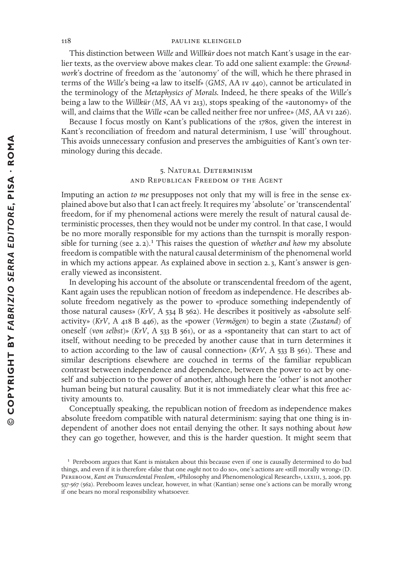This distinction between *Wille* and *Willkür* does not match Kant's usage in the earlier texts, as the overview above makes clear. To add one salient example: the *Groundwork*'s doctrine of freedom as the 'autonomy' of the will, which he there phrased in terms of the *Wille*'s being «a law to itself» (*GMS*, AA iv 440), cannot be articulated in the terminology of the *Metaphysics of Morals.* Indeed, he there speas of the *Wille*'s being a law to the *Willkür* (*MS*, AA vi 213), stops speaking of the «autonomy» of the will, and claims that the *Wille* «can be called neither free nor unfree» (*MS*, AA vi 226).

Because I focus mostly on Kant's publications of the 1780s, given the interest in Kant's reconciliation of freedom and natural determinism, I use 'will' throughout. This avoids unnecessary confusion and preserves the ambiguities of Kant's own terminology during this decade.

# 5. Natural Determinism and Republican Freedom of the Agent

Imputing an action *to me* presupposes not only that my will is free in the sense explained above but also that I can act freely. It requires my 'absolute' or 'transcendental' freedom, for if my phenomenal actions were merely the result of natural causal deterministic processes, then they would not be under my control. In that case, I would be no more morally responsible for my actions than the turnspit is morally responsible for turning (see  $2.2$ ).<sup>1</sup> This raises the question of *whether and how* my absolute freedom is compatible with the natural causal determinism of the phenomenal world in which my actions appear. As explained above in section 2. 3, Kant's answer is generally viewed as inconsistent.

In developing his account of the absolute or transcendental freedom of the agent, Kant again uses the republican notion of freedom as independence. He describes absolute freedom negatively as the power to «produce something independently of those natural causes» (*KrV*, A 534 B 562). He describes it positively as «absolute selfactivity» (*KrV*, A 418 B 446), as the «power (*Vermögen*) to begin a state (*Zustand*) of oneself (*von selbst*)» (*KrV*, A 533 B 561), or as a «spontaneity that can start to act of itself, without needing to be preceded by another cause that in turn determines it to action according to the law of causal connection» (*KrV*, A 533 B 561). These and similar descriptions elsewhere are couched in terms of the familiar republican contrast between independence and dependence, between the power to act by oneself and subjection to the power of another, although here the 'other' is not another human being but natural causality. But it is not immediately clear what this free activity amounts to.

Conceptually speaking, the republican notion of freedom as independence makes absolute freedom compatible with natural determinism: saying that one thing is independent of another does not entail denying the other. It says nothing about *how* they can go together, however, and this is the harder question. It might seem that

 $1$  Pereboom argues that Kant is mistaken about this because even if one is causally determined to do bad things, and even if it is therefore «false that one *ought* not to do so», one's actions are «still morally wrong» (D. PEREBOOM, *Kant on Transcendental Freedom*, «Philosophy and Phenomenological Research», LXXIII, 3, 2006, pp. 537-567 (562). Pereboom leaves unclear, however, in what (Kantian) sense one's actions can be morally wrong if one bears no moral responsibility whatsoever.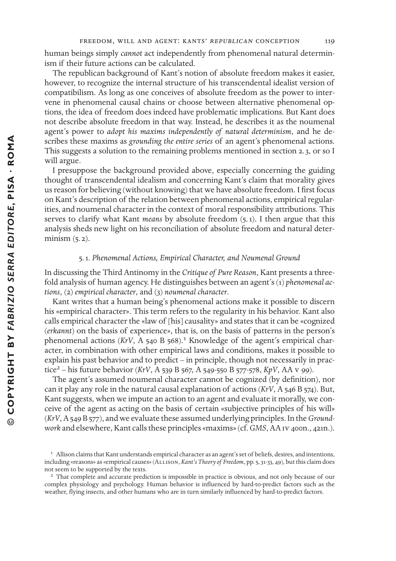human beings simply *cannot* act independently from phenomenal natural determinism if their future actions can be calculated.

The republican background of Kant's notion of absolute freedom makes it easier, however, to recognize the internal structure of his transcendental idealist version of compatibilism. As long as one conceives of absolute freedom as the power to intervene in phenomenal causal chains or choose between alternative phenomenal options, the idea of freedom does indeed have problematic implications. But Kant does not describe absolute freedom in that way. Instead, he describes it as the noumenal agent's power to *adopt his maxims independently of natural determinism*, and he describes these maxims as *grounding the entire series* of an agent's phenomenal actions. This suggests a solution to the remaining problems mentioned in section 2. 3, or so I will argue.

I presuppose the background provided above, especially concerning the guiding thought of transcendental idealism and concerning Kant's claim that morality gives us reason for believing (without knowing) that we have absolute freedom. I first focus on Kant's description of the relation between phenomenal actions, empirical regularities, and noumenal character in the context of moral responsibility attributions. This serves to clarify what Kant *means* by absolute freedom (5. 1). I then argue that this analysis sheds new light on his reconciliation of absolute freedom and natural determinism  $(5.2)$ .

# 5. 1. *Phenomenal Actions, Empirical Character, and Noumenal Ground*

In discussing the Third Antinomy in the *Critique of Pure Reason*, Kant presents a threefold analysis of human agency. He distinguishes between an agent's (1) *phenomenal actions*, (2) *empirical character*, and (3) *noumenal character*.

Kant writes that a human being's phenomenal actions make it possible to discern his «empirical character». This term refers to the regularity in his behavior. Kant also calls empirical character the «law of [his] causality» and states that it can be «cognized (*erkannt*) on the basis of experience», that is, on the basis of patterns in the person's phenomenal actions ( $KrV$ , A 540 B 568).<sup>1</sup> Knowledge of the agent's empirical character, in combination with other empirical laws and conditions, makes it possible to explain his past behavior and to predict – in principle, though not necessarily in practice2 – his future behavior (*KrV*, A 539 B 567, A 549-550 B 577-578, *KpV*, AA v 99).

The agent's assumed noumenal character cannot be cognized (by definition), nor can it play any role in the natural causal explanation of actions (*KrV*, A 546 B 574). But, Kant suggests, when we impute an action to an agent and evaluate it morally, we conceive of the agent as acting on the basis of certain «subjective principles of his will» (*KrV*, A 549 B 577), and we evaluate these assumed underlying principles. In the*Ground*work and elsewhere, Kant calls these principles «maxims» (cf. *GMS*, AA Iv 400n., 421n.).

<sup>&</sup>lt;sup>1</sup> Allison claims that Kant understands empirical character as an agent's set of beliefs, desires, and intentions, including «reasons» as «empirical causes» (Allison, *Kant's Theory of Freedom*, pp. 5, 31-33, 49), but this claim does not seem to be supported by the texts.

<sup>&</sup>lt;sup>2</sup> That complete and accurate prediction is impossible in practice is obvious, and not only because of our complex physiology and psychology. Human behavior is influenced by hard-to-predict factors such as the weather, flying insects, and other humans who are in turn similarly influenced by hard-to-predict factors.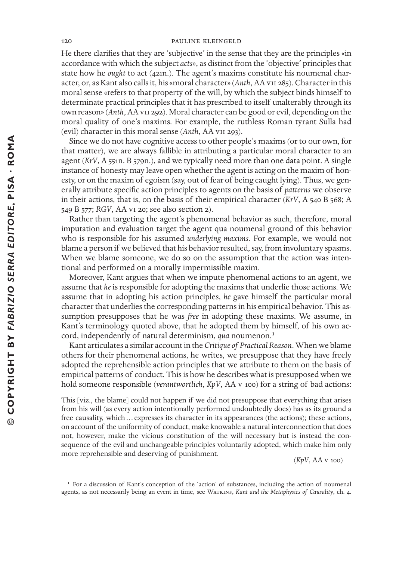He there clarifies that they are 'subjective' in the sense that they are the principles «in accordance with which the subject *acts*», as distinct from the 'objective' principles that state how he *ought* to act (421n.). The agent's maxims constitute his noumenal character, or, as Kant also callsit, his «moral character» (*Anth*, AA vii 285). Characterin this moral sense «refers to that property of the will, by which the subject binds himself to determinate practical principles that it has prescribed to itself unalterably through its own reason» (*Anth*, AA vii 292). Moral character can be good or evil, depending on the moral quality of one's maxims. For example, the ruthless Roman tyrant Sulla had (evil) character in this moral sense (*Anth*, AA vii 293).

Since we do not have cognitive access to other people's maxims (or to our own, for that matter), we are always fallible in attributing a particular moral character to an agent (*KrV*, A 551n. B 579n.), and we typically need more than one data point. A single instance of honesty may leave open whether the agent is acting on the maxim of honesty, or on the maxim of egoism (say, out of fear of being caught lying). Thus, we generally attribute specific action principles to agents on the basis of *patterns* we observe in their actions, that is, on the basis of their empirical character (*KrV*, A 540 B 568; A 549 B 577; *RGV*, AA vi 20; see also section 2).

Rather than targeting the agent's phenomenal behavior as such, therefore, moral imputation and evaluation target the agent qua noumenal ground of this behavior who is responsible for his assumed *underlying maxims*. For example, we would not blame a person if we believed that his behavior resulted, say, from involuntary spasms. When we blame someone, we do so on the assumption that the action was intentional and performed on a morally impermissible maxim.

Moreover, Kant argues that when we impute phenomenal actions to an agent, we assume that *he* is responsible for adopting the maxims that underlie those actions. We assume that in adopting his action principles, *he* gave himself the particular moral character that underlies the corresponding patterns in his empirical behavior. This assumption presupposes that he was *free* in adopting these maxims. We assume, in Kant's terminology quoted above, that he adopted them by himself, of his own accord, independently of natural determinism, *qua* noumenon.<sup>1</sup>

Kant articulates a similar account in the *Critique of Practical Reason*. When we blame others for their phenomenal actions, he writes, we presuppose that they have freely adopted the reprehensible action principles that we attribute to them on the basis of empirical patterns of conduct. This is how he describes what is presupposed when we hold someone responsible (*verantwortlich*, *KpV*, AA v 100) for a string of bad actions:

This [viz., the blame] could not happen if we did not presuppose that everything that arises from his will (as every action intentionally performed undoubtedly does) has as its ground a free causality, which … expresses its character in its appearances (the actions); these actions, on account of the uniformity of conduct, make knowable a natural interconnection that does not, however, make the vicious constitution of the will necessary but is instead the consequence of the evil and unchangeable principles voluntarily adopted, which make him only more reprehensible and deserving of punishment. (*KpV*, AA v 100)

<sup>&</sup>lt;sup>1</sup> For a discussion of Kant's conception of the 'action' of substances, including the action of noumenal agents, as not necessarily being an event in time, see Watkins, *Kant and the Metaphysics of Causality*, ch. 4.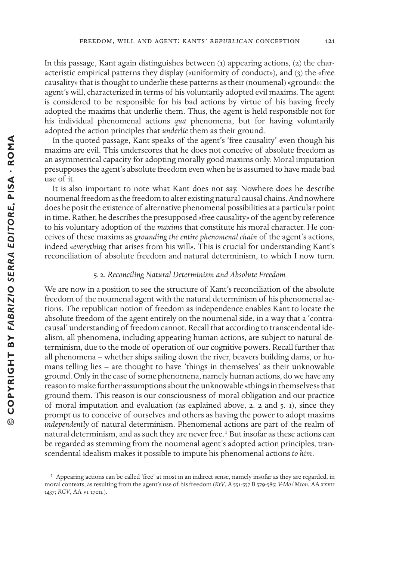In this passage, Kant again distinguishes between (1) appearing actions, (2) the characteristic empirical patterns they display («uniformity of conduct»), and (3) the «free causality» that is thought to underlie these patterns as their (noumenal) «ground»: the agent's will, characterized in terms of his voluntarily adopted evil maxims. The agent is considered to be responsible for his bad actions by virtue of his having freely adopted the maxims that underlie them. Thus, the agent is held responsible not for his individual phenomenal actions *qua* phenomena, but for having voluntarily adopted the action principles that *underlie* them as their ground.

In the quoted passage, Kant speaks of the agent's 'free causality' even though his maxims are evil. This underscores that he does not conceive of absolute freedom as an asymmetrical capacity for adopting morally good maxims only. Moral imputation presupposes the agent's absolute freedom even when he is assumed to have made bad use of it.

It is also important to note what Kant does not say. Nowhere does he describe noumenalfreedom asthe freedom to alter existing natural causal chains. And nowhere does he posit the existence of alternative phenomenal possibilities at a particular point in time. Rather, he describes the presupposed «free causality» of the agent by reference to his voluntary adoption of the *maxims* that constitute his moral character. He conceives of these maxims as *grounding the entire phenomenal chain* of the agent's actions, indeed «*everything* that arises from his will». This is crucial for understanding Kant's reconciliation of absolute freedom and natural determinism, to which I now turn.

#### 5. 2. *Reconciling Natural Determinism and Absolute Freedom*

We are now in a position to see the structure of Kant's reconciliation of the absolute freedom of the noumenal agent with the natural determinism of his phenomenal actions. The republican notion of freedom as independence enables Kant to locate the absolute freedom of the agent entirely on the noumenal side, in a way that a 'contracausal' understanding of freedom cannot. Recall that according to transcendental idealism, all phenomena, including appearing human actions, are subject to natural determinism, due to the mode of operation of our cognitive powers. Recall further that all phenomena – whether ships sailing down the river, beavers building dams, or humans telling lies – are thought to have 'things in themselves' as their unknowable ground. Only in the case of some phenomena, namely human actions, do we have any reason to make further assumptions about the unknowable «things in themselves» that ground them. This reason is our consciousness of moral obligation and our practice of moral imputation and evaluation (as explained above, 2. 2 and 5. 1), since they prompt us to conceive of ourselves and others as having the power to adopt maxims *independently* of natural determinism. Phenomenal actions are part of the realm of natural determinism, and as such they are never free.<sup>1</sup> But insofar as these actions can be regarded as stemming from the noumenal agent's adopted action principles, transcendental idealism makes it possible to impute his phenomenal actions *to him*.

 $<sup>1</sup>$  Appearing actions can be called 'free' at most in an indirect sense, namely insofar as they are regarded, in</sup> moral contexts, as resulting from the agent's use of his freedom (*KrV*, A 551-557 B 579-585; *V-Mo*/*Mron*, AA xxvii 1437; *RGV*, AA vi 170n.).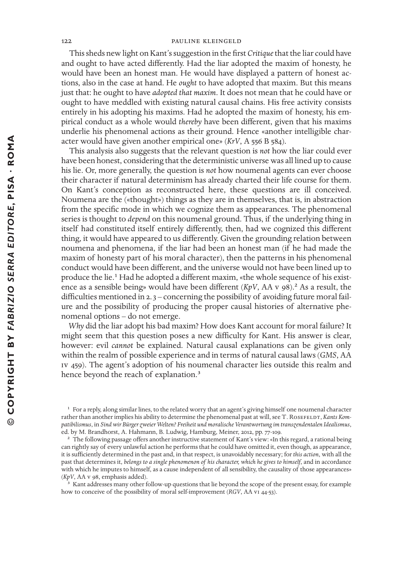This sheds new light on Kant's suggestion in the first *Critique* that the liar could have and ought to have acted differently. Had the liar adopted the maxim of honesty, he would have been an honest man. He would have displayed a pattern of honest actions, also in the case at hand. He *ought* to have adopted that maxim. But this means just that: he ought to have *adopted that maxim*. It does not mean that he could have or ought to have meddled with existing natural causal chains. His free activity consists entirely in his adopting his maxims. Had he adopted the maxim of honesty, his empirical conduct as a whole would *thereby* have been different, given that his maxims underlie his phenomenal actions as their ground. Hence «another intelligible character would have given another empirical one» (*KrV*, A 556 B 584).

This analysis also suggests that the relevant question is *not* how the liar could ever have been honest, considering that the deterministic universe was all lined up to cause his lie. Or, more generally, the question is *not* how noumenal agents can ever choose their character if natural determinism has already charted their life course for them. On Kant's conception as reconstructed here, these questions are ill conceived. Noumena are the («thought») things as they are in themselves, that is, in abstraction from the specific mode in which we cognize them as appearances. The phenomenal series is thought to *depend* on this noumenal ground. Thus, if the underlying thing in itself had constituted itself entirely differently, then, had we cognized this different thing, it would have appeared to us differently. Given the grounding relation between noumena and phenomena, if the liar had been an honest man (if he had made the maxim of honesty part of his moral character), then the patterns in his phenomenal conduct would have been different, and the universe would not have been lined up to produce the lie.<sup>1</sup> Had he adopted a different maxim, «the whole sequence of his existence as a sensible being» would have been different  $(KpV, AA V 98)$ .<sup>2</sup> As a result, the difficulties mentioned in  $2.3$  – concerning the possibility of avoiding future moral failure and the possibility of producing the proper causal histories of alternative phenomenal options – do not emerge.

*Why* did the liar adopt his bad maxim? How does Kant account for moral failure? It might seem that this question poses a new difficulty for Kant. His answer is clear, however: evil *cannot* be explained. Natural causal explanations can be given only within the realm of possible experience and in terms of natural causal laws (*GMS*, AA iv 459). The agent's adoption of his noumenal character lies outside this realm and hence beyond the reach of explanation.<sup>3</sup>

<sup>3</sup> Kant addresses many other follow-up questions that lie beyond the scope of the present essay, for example how to conceive of the possibility of moral self-improvement (*RGV*, AA vi 44-53).

<sup>&</sup>lt;sup>1</sup> For a reply, along similar lines, to the related worry that an agent's giving himself one noumenal character rather than another implies his ability to determine the phenomenal past at will, see T. ROSEFELDT, *Kants Kompatibilismus*, in *Sind wir Bürger zweier Welten? Freiheit und moralische Verantwortung im transzendentalen Idealismus*, ed. by M. Brandhorst, A. Hahmann, B. Ludwig, Hamburg, Meiner, 2012, pp. 77-109.

<sup>&</sup>lt;sup>2</sup> The following passage offers another instructive statement of Kant's view: «In this regard, a rational being can rightly say of every unlawful action he performs that he could have omitted it, even though, as appearance, it is sufficiently determined in the past and, in that respect, is unavoidably necessary; for *this action*, with all the past that determines it, *belongs to a single phenomenon of his character, which he gives to himself*, and in accordance with which he imputes to himself, as a cause independent of all sensibility, the causality of those appearances» (*KpV*, AA v 98, emphasis added).